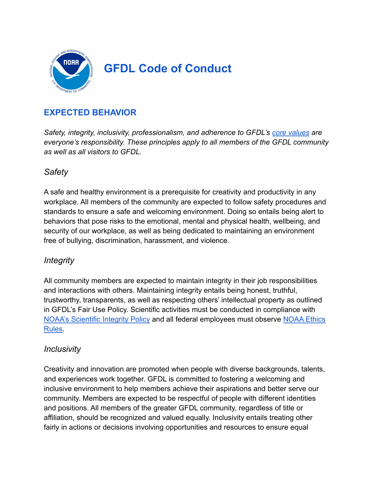

## **EXPECTED BEHAVIOR**

*Safety, integrity, inclusivity, professionalism, and adherence to GFDL's [core values](https://www.gfdl.noaa.gov/core-values/) are everyone's responsibility. These principles apply to all members of the GFDL community as well as all visitors to GFDL.*

### *Safety*

A safe and healthy environment is a prerequisite for creativity and productivity in any workplace. All members of the community are expected to follow safety procedures and standards to ensure a safe and welcoming environment. Doing so entails being alert to behaviors that pose risks to the emotional, mental and physical health, wellbeing, and security of our workplace, as well as being dedicated to maintaining an environment free of bullying, discrimination, harassment, and violence.

#### *Integrity*

All community members are expected to maintain integrity in their job responsibilities and interactions with others. Maintaining integrity entails being honest, truthful, trustworthy, transparents, as well as respecting others' intellectual property as outlined in GFDL's Fair Use Policy. Scientific activities must be conducted in compliance with [NOAA's Scientific Integrity Policy](https://www.noaa.gov/organization/administration/nao-202-735d-2-scientific-integrity) and all federal employees must observe [NOAA Ethics](https://ogc.commerce.gov/page/ethics-rules) [Rules.](https://ogc.commerce.gov/page/ethics-rules)

#### *Inclusivity*

Creativity and innovation are promoted when people with diverse backgrounds, talents, and experiences work together. GFDL is committed to fostering a welcoming and inclusive environment to help members achieve their aspirations and better serve our community. Members are expected to be respectful of people with different identities and positions. All members of the greater GFDL community, regardless of title or affiliation, should be recognized and valued equally. Inclusivity entails treating other fairly in actions or decisions involving opportunities and resources to ensure equal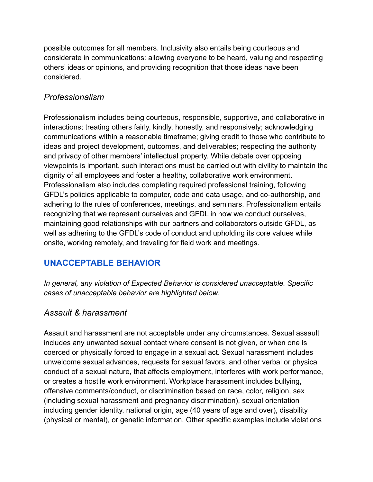possible outcomes for all members. Inclusivity also entails being courteous and considerate in communications: allowing everyone to be heard, valuing and respecting others' ideas or opinions, and providing recognition that those ideas have been considered.

### *Professionalism*

Professionalism includes being courteous, responsible, supportive, and collaborative in interactions; treating others fairly, kindly, honestly, and responsively; acknowledging communications within a reasonable timeframe; giving credit to those who contribute to ideas and project development, outcomes, and deliverables; respecting the authority and privacy of other members' intellectual property. While debate over opposing viewpoints is important, such interactions must be carried out with civility to maintain the dignity of all employees and foster a healthy, collaborative work environment. Professionalism also includes completing required professional training, following GFDL's policies applicable to computer, code and data usage, and co-authorship, and adhering to the rules of conferences, meetings, and seminars. Professionalism entails recognizing that we represent ourselves and GFDL in how we conduct ourselves, maintaining good relationships with our partners and collaborators outside GFDL, as well as adhering to the GFDL's code of conduct and upholding its core values while onsite, working remotely, and traveling for field work and meetings.

# **UNACCEPTABLE BEHAVIOR**

*In general, any violation of Expected Behavior is considered unacceptable. Specific cases of unacceptable behavior are highlighted below.*

#### *Assault & harassment*

Assault and harassment are not acceptable under any circumstances. Sexual assault includes any unwanted sexual contact where consent is not given, or when one is coerced or physically forced to engage in a sexual act. Sexual harassment includes unwelcome sexual advances, requests for sexual favors, and other verbal or physical conduct of a sexual nature, that affects employment, interferes with work performance, or creates a hostile work environment. Workplace harassment includes bullying, offensive comments/conduct, or discrimination based on race, color, religion, sex (including sexual harassment and pregnancy discrimination), sexual orientation including gender identity, national origin, age (40 years of age and over), disability (physical or mental), or genetic information. Other specific examples include violations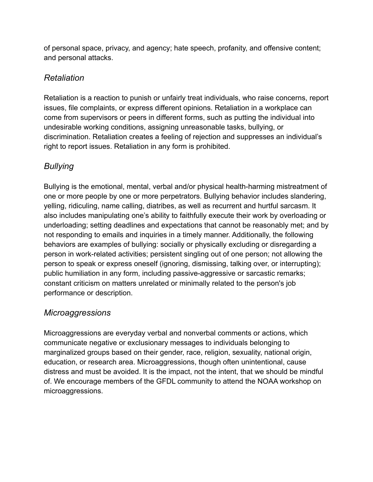of personal space, privacy, and agency; hate speech, profanity, and offensive content; and personal attacks.

# *Retaliation*

Retaliation is a reaction to punish or unfairly treat individuals, who raise concerns, report issues, file complaints, or express different opinions. Retaliation in a workplace can come from supervisors or peers in different forms, such as putting the individual into undesirable working conditions, assigning unreasonable tasks, bullying, or discrimination. Retaliation creates a feeling of rejection and suppresses an individual's right to report issues. Retaliation in any form is prohibited.

# *Bullying*

Bullying is the emotional, mental, verbal and/or physical health-harming mistreatment of one or more people by one or more perpetrators. Bullying behavior includes slandering, yelling, ridiculing, name calling, diatribes, as well as recurrent and hurtful sarcasm. It also includes manipulating one's ability to faithfully execute their work by overloading or underloading; setting deadlines and expectations that cannot be reasonably met; and by not responding to emails and inquiries in a timely manner. Additionally, the following behaviors are examples of bullying: socially or physically excluding or disregarding a person in work-related activities; persistent singling out of one person; not allowing the person to speak or express oneself (ignoring, dismissing, talking over, or interrupting); public humiliation in any form, including passive-aggressive or sarcastic remarks; constant criticism on matters unrelated or minimally related to the person's job performance or description.

## *Microaggressions*

Microaggressions are everyday verbal and nonverbal comments or actions, which communicate negative or exclusionary messages to individuals belonging to marginalized groups based on their gender, race, religion, sexuality, national origin, education, or research area. Microaggressions, though often unintentional, cause distress and must be avoided. It is the impact, not the intent, that we should be mindful of. We encourage members of the GFDL community to attend the NOAA workshop on microaggressions.